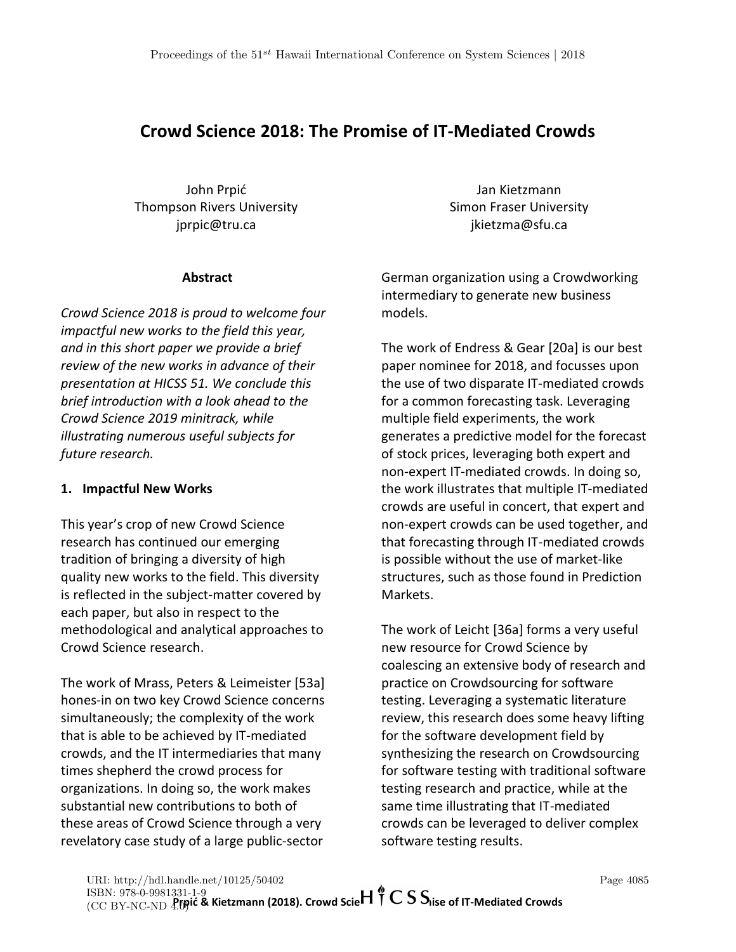# **Crowd Science 2018: The Promise of IT-Mediated Crowds**

John Prpić Thompson Rivers University jprpic@tru.ca

## **Abstract**

*Crowd Science 2018 is proud to welcome four impactful new works to the field this year, and in this short paper we provide a brief review of the new works in advance of their presentation at HICSS 51. We conclude this brief introduction with a look ahead to the Crowd Science 2019 minitrack, while illustrating numerous useful subjects for future research.* 

## **1. Impactful New Works**

This year's crop of new Crowd Science research has continued our emerging tradition of bringing a diversity of high quality new works to the field. This diversity is reflected in the subject-matter covered by each paper, but also in respect to the methodological and analytical approaches to Crowd Science research.

The work of Mrass, Peters & Leimeister [53a] hones-in on two key Crowd Science concerns simultaneously; the complexity of the work that is able to be achieved by IT-mediated crowds, and the IT intermediaries that many times shepherd the crowd process for organizations. In doing so, the work makes substantial new contributions to both of these areas of Crowd Science through a very revelatory case study of a large public-sector

Jan Kietzmann Simon Fraser University jkietzma@sfu.ca

German organization using a Crowdworking intermediary to generate new business models.

The work of Endress & Gear [20a] is our best paper nominee for 2018, and focusses upon the use of two disparate IT-mediated crowds for a common forecasting task. Leveraging multiple field experiments, the work generates a predictive model for the forecast of stock prices, leveraging both expert and non-expert IT-mediated crowds. In doing so, the work illustrates that multiple IT-mediated crowds are useful in concert, that expert and non-expert crowds can be used together, and that forecasting through IT-mediated crowds is possible without the use of market-like structures, such as those found in Prediction Markets.

The work of Leicht [36a] forms a very useful new resource for Crowd Science by coalescing an extensive body of research and practice on Crowdsourcing for software testing. Leveraging a systematic literature review, this research does some heavy lifting for the software development field by synthesizing the research on Crowdsourcing for software testing with traditional software testing research and practice, while at the same time illustrating that IT-mediated crowds can be leveraged to deliver complex software testing results.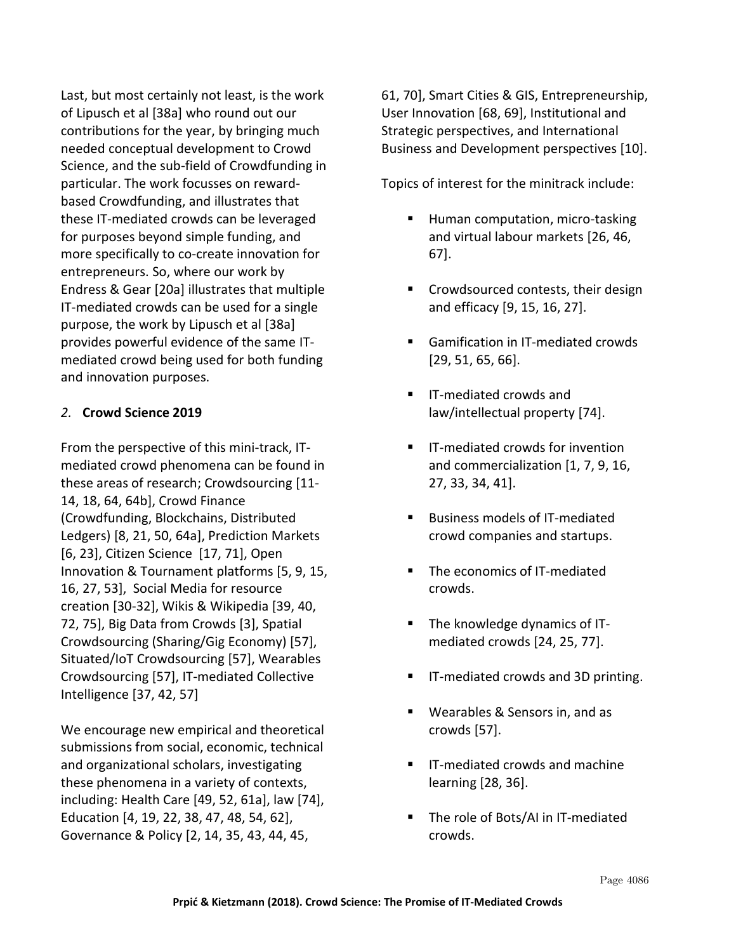Last, but most certainly not least, is the work of Lipusch et al [38a] who round out our contributions for the year, by bringing much needed conceptual development to Crowd Science, and the sub-field of Crowdfunding in particular. The work focusses on rewardbased Crowdfunding, and illustrates that these IT-mediated crowds can be leveraged for purposes beyond simple funding, and more specifically to co-create innovation for entrepreneurs. So, where our work by Endress & Gear [20a] illustrates that multiple IT-mediated crowds can be used for a single purpose, the work by Lipusch et al [38a] provides powerful evidence of the same ITmediated crowd being used for both funding and innovation purposes.

### *2.* **Crowd Science 2019**

From the perspective of this mini-track, ITmediated crowd phenomena can be found in these areas of research; Crowdsourcing [11- 14, 18, 64, 64b], Crowd Finance (Crowdfunding, Blockchains, Distributed Ledgers) [8, 21, 50, 64a], Prediction Markets [6, 23], Citizen Science [17, 71], Open Innovation & Tournament platforms [5, 9, 15, 16, 27, 53], Social Media for resource creation [30-32], Wikis & Wikipedia [39, 40, 72, 75], Big Data from Crowds [3], Spatial Crowdsourcing (Sharing/Gig Economy) [57], Situated/IoT Crowdsourcing [57], Wearables Crowdsourcing [57], IT-mediated Collective Intelligence [37, 42, 57]

We encourage new empirical and theoretical submissions from social, economic, technical and organizational scholars, investigating these phenomena in a variety of contexts, including: Health Care [49, 52, 61a], law [74], Education [4, 19, 22, 38, 47, 48, 54, 62], Governance & Policy [2, 14, 35, 43, 44, 45,

61, 70], Smart Cities & GIS, Entrepreneurship, User Innovation [68, 69], Institutional and Strategic perspectives, and International Business and Development perspectives [10].

Topics of interest for the minitrack include:

- Human computation, micro-tasking and virtual labour markets [26, 46, 67].
- Crowdsourced contests, their design and efficacy [9, 15, 16, 27].
- Gamification in IT-mediated crowds [29, 51, 65, 66].
- IT-mediated crowds and law/intellectual property [74].
- IT-mediated crowds for invention and commercialization [1, 7, 9, 16, 27, 33, 34, 41].
- Business models of IT-mediated crowd companies and startups.
- The economics of IT-mediated crowds.
- The knowledge dynamics of ITmediated crowds [24, 25, 77].
- IT-mediated crowds and 3D printing.
- Wearables & Sensors in, and as crowds [57].
- IT-mediated crowds and machine learning [28, 36].
- The role of Bots/AI in IT-mediated crowds.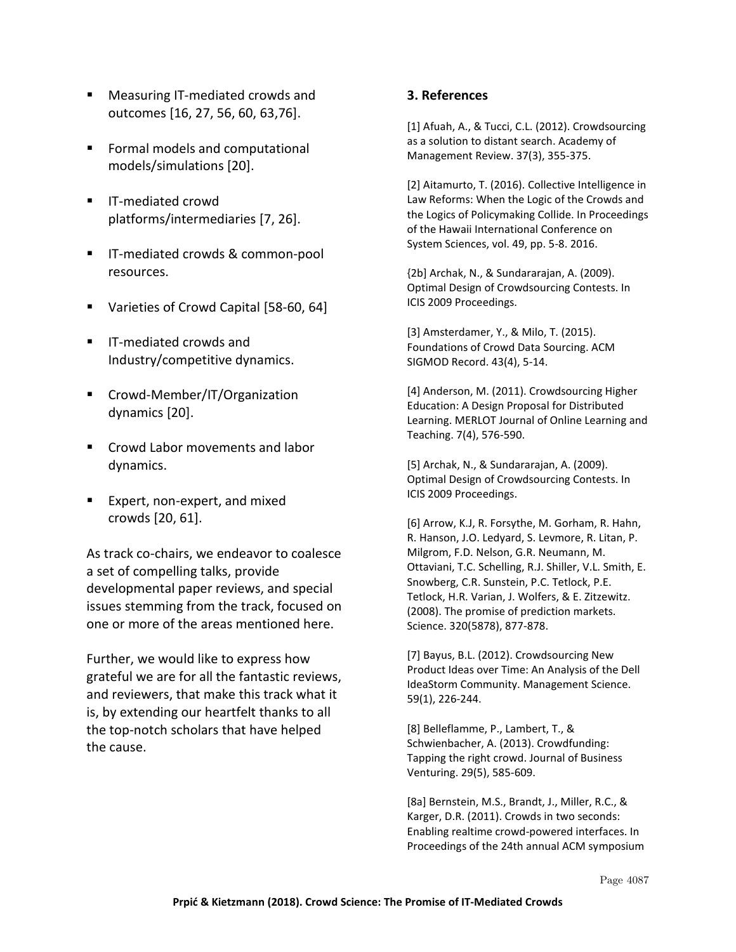- Measuring IT-mediated crowds and outcomes [16, 27, 56, 60, 63,76].
- Formal models and computational models/simulations [20].
- IT-mediated crowd platforms/intermediaries [7, 26].
- IT-mediated crowds & common-pool resources.
- Varieties of Crowd Capital [58-60, 64]
- IT-mediated crowds and Industry/competitive dynamics.
- Crowd-Member/IT/Organization dynamics [20].
- Crowd Labor movements and labor dynamics.
- Expert, non-expert, and mixed crowds [20, 61].

As track co-chairs, we endeavor to coalesce a set of compelling talks, provide developmental paper reviews, and special issues stemming from the track, focused on one or more of the areas mentioned here.

Further, we would like to express how grateful we are for all the fantastic reviews, and reviewers, that make this track what it is, by extending our heartfelt thanks to all the top-notch scholars that have helped the cause.

#### **3. References**

[1] Afuah, A., & Tucci, C.L. (2012). Crowdsourcing as a solution to distant search. Academy of Management Review. 37(3), 355-375.

[2] Aitamurto, T. (2016). Collective Intelligence in Law Reforms: When the Logic of the Crowds and the Logics of Policymaking Collide. In Proceedings of the Hawaii International Conference on System Sciences, vol. 49, pp. 5-8. 2016.

{2b] Archak, N., & Sundararajan, A. (2009). Optimal Design of Crowdsourcing Contests. In ICIS 2009 Proceedings.

[3] Amsterdamer, Y., & Milo, T. (2015). Foundations of Crowd Data Sourcing. ACM SIGMOD Record. 43(4), 5-14.

[4] Anderson, M. (2011). Crowdsourcing Higher Education: A Design Proposal for Distributed Learning. MERLOT Journal of Online Learning and Teaching. 7(4), 576-590.

[5] Archak, N., & Sundararajan, A. (2009). Optimal Design of Crowdsourcing Contests. In ICIS 2009 Proceedings.

[6] Arrow, K.J, R. Forsythe, M. Gorham, R. Hahn, R. Hanson, J.O. Ledyard, S. Levmore, R. Litan, P. Milgrom, F.D. Nelson, G.R. Neumann, M. Ottaviani, T.C. Schelling, R.J. Shiller, V.L. Smith, E. Snowberg, C.R. Sunstein, P.C. Tetlock, P.E. Tetlock, H.R. Varian, J. Wolfers, & E. Zitzewitz. (2008). The promise of prediction markets. Science. 320(5878), 877-878.

[7] Bayus, B.L. (2012). Crowdsourcing New Product Ideas over Time: An Analysis of the Dell IdeaStorm Community. Management Science. 59(1), 226-244.

[8] Belleflamme, P., Lambert, T., & Schwienbacher, A. (2013). Crowdfunding: Tapping the right crowd. Journal of Business Venturing. 29(5), 585-609.

[8a] Bernstein, M.S., Brandt, J., Miller, R.C., & Karger, D.R. (2011). Crowds in two seconds: Enabling realtime crowd-powered interfaces. In Proceedings of the 24th annual ACM symposium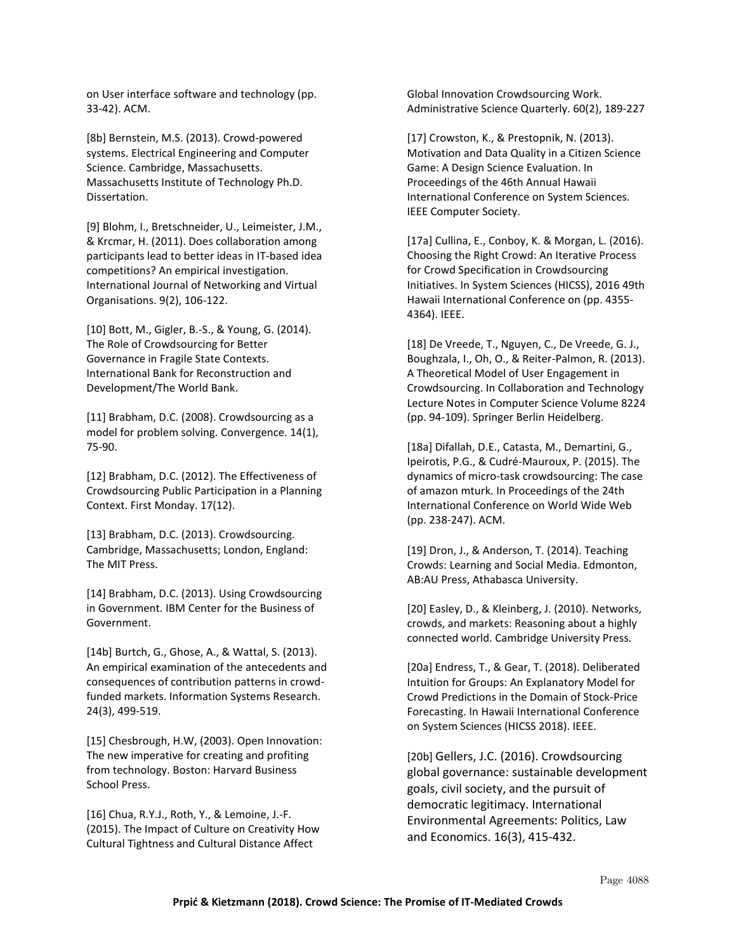on User interface software and technology (pp. 33-42). ACM.

[8b] Bernstein, M.S. (2013). Crowd-powered systems. Electrical Engineering and Computer Science. Cambridge, Massachusetts. Massachusetts Institute of Technology Ph.D. Dissertation.

[9] Blohm, I., Bretschneider, U., Leimeister, J.M., & Krcmar, H. (2011). Does collaboration among participants lead to better ideas in IT-based idea competitions? An empirical investigation. International Journal of Networking and Virtual Organisations. 9(2), 106-122.

[10] Bott, M., Gigler, B.-S., & Young, G. (2014). The Role of Crowdsourcing for Better Governance in Fragile State Contexts. International Bank for Reconstruction and Development/The World Bank.

[11] Brabham, D.C. (2008). Crowdsourcing as a model for problem solving. Convergence. 14(1), 75-90.

[12] Brabham, D.C. (2012). The Effectiveness of Crowdsourcing Public Participation in a Planning Context. First Monday. 17(12).

[13] Brabham, D.C. (2013). Crowdsourcing. Cambridge, Massachusetts; London, England: The MIT Press.

[14] Brabham, D.C. (2013). Using Crowdsourcing in Government. IBM Center for the Business of Government.

[14b] Burtch, G., Ghose, A., & Wattal, S. (2013). An empirical examination of the antecedents and consequences of contribution patterns in crowdfunded markets. Information Systems Research. 24(3), 499-519.

[15] Chesbrough, H.W, (2003). Open Innovation: The new imperative for creating and profiting from technology. Boston: Harvard Business School Press.

[16] Chua, R.Y.J., Roth, Y., & Lemoine, J.-F. (2015). The Impact of Culture on Creativity How Cultural Tightness and Cultural Distance Affect

Global Innovation Crowdsourcing Work. Administrative Science Quarterly. 60(2), 189-227

[17] Crowston, K., & Prestopnik, N. (2013). Motivation and Data Quality in a Citizen Science Game: A Design Science Evaluation. In Proceedings of the 46th Annual Hawaii International Conference on System Sciences. IEEE Computer Society.

[17a] Cullina, E., Conboy, K. & Morgan, L. (2016). Choosing the Right Crowd: An Iterative Process for Crowd Specification in Crowdsourcing Initiatives. In System Sciences (HICSS), 2016 49th Hawaii International Conference on (pp. 4355- 4364). IEEE.

[18] De Vreede, T., Nguyen, C., De Vreede, G. J., Boughzala, I., Oh, O., & Reiter-Palmon, R. (2013). A Theoretical Model of User Engagement in Crowdsourcing. In Collaboration and Technology Lecture Notes in Computer Science Volume 8224 (pp. 94-109). Springer Berlin Heidelberg.

[18a] Difallah, D.E., Catasta, M., Demartini, G., Ipeirotis, P.G., & Cudré-Mauroux, P. (2015). The dynamics of micro-task crowdsourcing: The case of amazon mturk. In Proceedings of the 24th International Conference on World Wide Web (pp. 238-247). ACM.

[19] Dron, J., & Anderson, T. (2014). Teaching Crowds: Learning and Social Media. Edmonton, AB:AU Press, Athabasca University.

[20] Easley, D., & Kleinberg, J. (2010). Networks, crowds, and markets: Reasoning about a highly connected world. Cambridge University Press.

[20a] Endress, T., & Gear, T. (2018). Deliberated Intuition for Groups: An Explanatory Model for Crowd Predictions in the Domain of Stock-Price Forecasting. In Hawaii International Conference on System Sciences (HICSS 2018). IEEE.

[20b] Gellers, J.C. (2016). Crowdsourcing global governance: sustainable development goals, civil society, and the pursuit of democratic legitimacy. International Environmental Agreements: Politics, Law and Economics. 16(3), 415-432.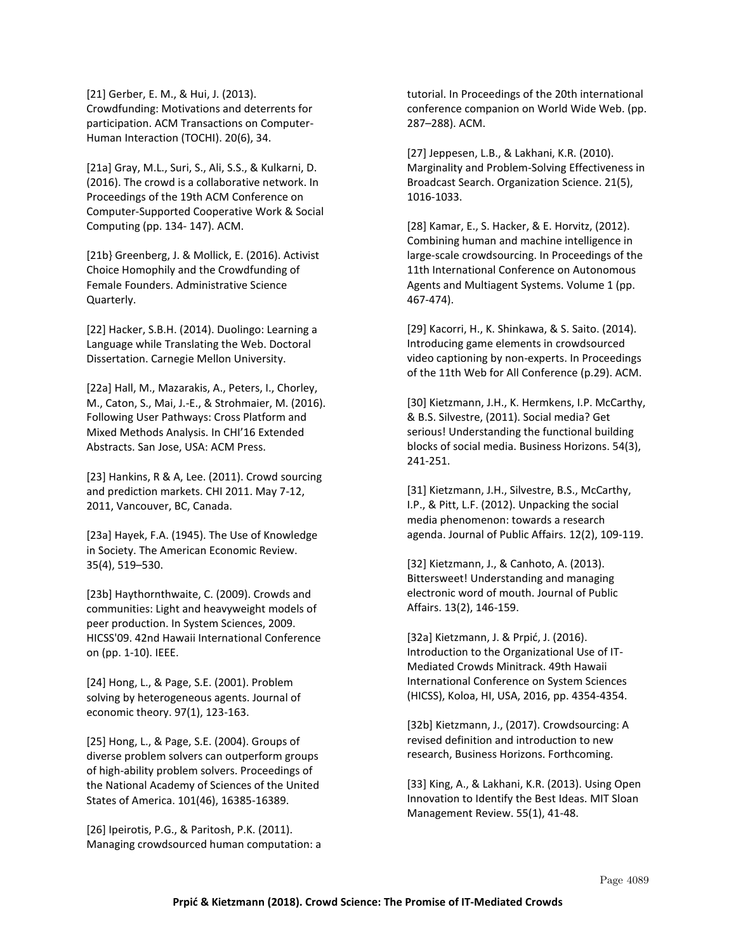[21] Gerber, E. M., & Hui, J. (2013). Crowdfunding: Motivations and deterrents for participation. ACM Transactions on Computer-Human Interaction (TOCHI). 20(6), 34.

[21a] Gray, M.L., Suri, S., Ali, S.S., & Kulkarni, D. (2016). The crowd is a collaborative network. In Proceedings of the 19th ACM Conference on Computer-Supported Cooperative Work & Social Computing (pp. 134- 147). ACM.

[21b} Greenberg, J. & Mollick, E. (2016). Activist Choice Homophily and the Crowdfunding of Female Founders. Administrative Science Quarterly.

[22] Hacker, S.B.H. (2014). Duolingo: Learning a Language while Translating the Web. Doctoral Dissertation. Carnegie Mellon University.

[22a] Hall, M., Mazarakis, A., Peters, I., Chorley, M., Caton, S., Mai, J.-E., & Strohmaier, M. (2016). Following User Pathways: Cross Platform and Mixed Methods Analysis. In CHI'16 Extended Abstracts. San Jose, USA: ACM Press.

[23] Hankins, R & A, Lee. (2011). Crowd sourcing and prediction markets. CHI 2011. May 7-12, 2011, Vancouver, BC, Canada.

[23a] Hayek, F.A. (1945). The Use of Knowledge in Society. The American Economic Review. 35(4), 519–530.

[23b] Haythornthwaite, C. (2009). Crowds and communities: Light and heavyweight models of peer production. In System Sciences, 2009. HICSS'09. 42nd Hawaii International Conference on (pp. 1-10). IEEE.

[24] Hong, L., & Page, S.E. (2001). Problem solving by heterogeneous agents. Journal of economic theory. 97(1), 123-163.

[25] Hong, L., & Page, S.E. (2004). Groups of diverse problem solvers can outperform groups of high-ability problem solvers. Proceedings of the National Academy of Sciences of the United States of America. 101(46), 16385-16389.

[26] Ipeirotis, P.G., & Paritosh, P.K. (2011). Managing crowdsourced human computation: a tutorial. In Proceedings of the 20th international conference companion on World Wide Web. (pp. 287–288). ACM.

[27] Jeppesen, L.B., & Lakhani, K.R. (2010). Marginality and Problem-Solving Effectiveness in Broadcast Search. Organization Science. 21(5), 1016-1033.

[28] Kamar, E., S. Hacker, & E. Horvitz, (2012). Combining human and machine intelligence in large-scale crowdsourcing. In Proceedings of the 11th International Conference on Autonomous Agents and Multiagent Systems. Volume 1 (pp. 467-474).

[29] Kacorri, H., K. Shinkawa, & S. Saito. (2014). Introducing game elements in crowdsourced video captioning by non-experts. In Proceedings of the 11th Web for All Conference (p.29). ACM.

[30] Kietzmann, J.H., K. Hermkens, I.P. McCarthy, & B.S. Silvestre, (2011). Social media? Get serious! Understanding the functional building blocks of social media. Business Horizons. 54(3), 241-251.

[31] Kietzmann, J.H., Silvestre, B.S., McCarthy, I.P., & Pitt, L.F. (2012). Unpacking the social media phenomenon: towards a research agenda. Journal of Public Affairs. 12(2), 109-119.

[32] Kietzmann, J., & Canhoto, A. (2013). Bittersweet! Understanding and managing electronic word of mouth. Journal of Public Affairs. 13(2), 146-159.

[32a] Kietzmann, J. & Prpić, J. (2016). Introduction to the Organizational Use of IT-Mediated Crowds Minitrack. 49th Hawaii International Conference on System Sciences (HICSS), Koloa, HI, USA, 2016, pp. 4354-4354.

[32b] Kietzmann, J., (2017). Crowdsourcing: A revised definition and introduction to new research, Business Horizons. Forthcoming.

[33] King, A., & Lakhani, K.R. (2013). Using Open Innovation to Identify the Best Ideas. MIT Sloan Management Review. 55(1), 41-48.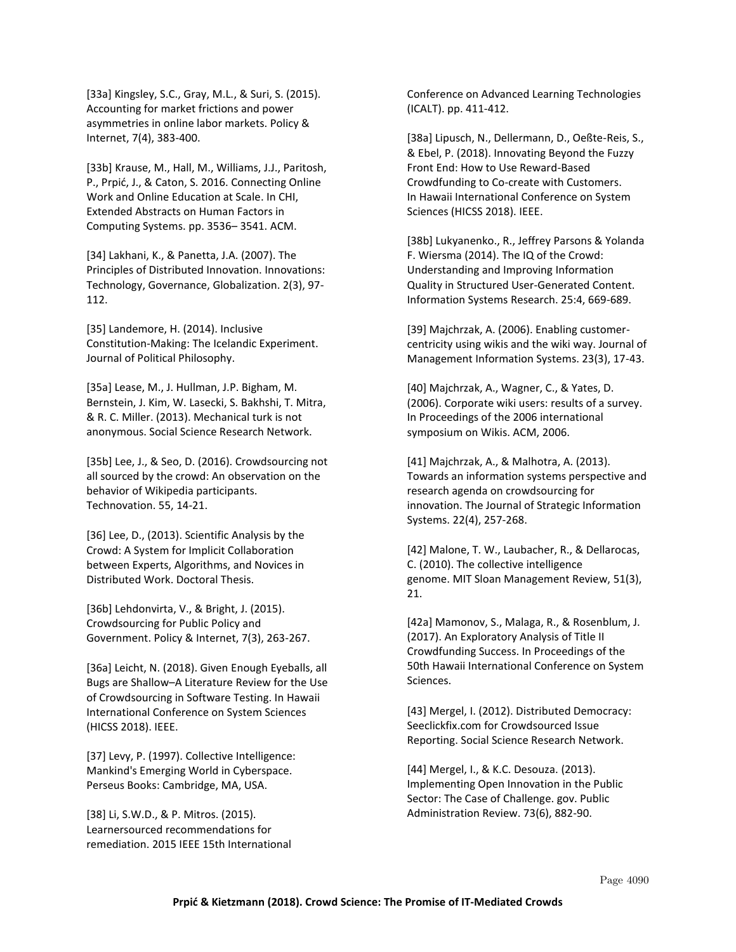[33a] Kingsley, S.C., Gray, M.L., & Suri, S. (2015). Accounting for market frictions and power asymmetries in online labor markets. Policy & Internet, 7(4), 383-400.

[33b] Krause, M., Hall, M., Williams, J.J., Paritosh, P., Prpić, J., & Caton, S. 2016. Connecting Online Work and Online Education at Scale. In CHI, Extended Abstracts on Human Factors in Computing Systems. pp. 3536– 3541. ACM.

[34] Lakhani, K., & Panetta, J.A. (2007). The Principles of Distributed Innovation. Innovations: Technology, Governance, Globalization. 2(3), 97- 112.

[35] Landemore, H. (2014). Inclusive Constitution-Making: The Icelandic Experiment. Journal of Political Philosophy.

[35a] Lease, M., J. Hullman, J.P. Bigham, M. Bernstein, J. Kim, W. Lasecki, S. Bakhshi, T. Mitra, & R. C. Miller. (2013). Mechanical turk is not anonymous. Social Science Research Network.

[35b] Lee, J., & Seo, D. (2016). Crowdsourcing not all sourced by the crowd: An observation on the behavior of Wikipedia participants. Technovation. 55, 14-21.

[36] Lee, D., (2013). Scientific Analysis by the Crowd: A System for Implicit Collaboration between Experts, Algorithms, and Novices in Distributed Work. Doctoral Thesis.

[36b] Lehdonvirta, V., & Bright, J. (2015). Crowdsourcing for Public Policy and Government. Policy & Internet, 7(3), 263-267.

[36a] Leicht, N. (2018). Given Enough Eyeballs, all Bugs are Shallow–A Literature Review for the Use of Crowdsourcing in Software Testing. In Hawaii International Conference on System Sciences (HICSS 2018). IEEE.

[37] Levy, P. (1997). Collective Intelligence: Mankind's Emerging World in Cyberspace. Perseus Books: Cambridge, MA, USA.

[38] Li, S.W.D., & P. Mitros. (2015). Learnersourced recommendations for remediation. 2015 IEEE 15th International Conference on Advanced Learning Technologies (ICALT). pp. 411-412.

[38a] Lipusch, N., Dellermann, D., Oeßte-Reis, S., & Ebel, P. (2018). Innovating Beyond the Fuzzy Front End: How to Use Reward-Based Crowdfunding to Co-create with Customers. In Hawaii International Conference on System Sciences (HICSS 2018). IEEE.

[38b] Lukyanenko., R., Jeffrey Parsons & Yolanda F. Wiersma (2014). The IQ of the Crowd: Understanding and Improving Information Quality in Structured User-Generated Content. Information Systems Research. 25:4, 669-689.

[39] Majchrzak, A. (2006). Enabling customercentricity using wikis and the wiki way. Journal of Management Information Systems. 23(3), 17-43.

[40] Majchrzak, A., Wagner, C., & Yates, D. (2006). Corporate wiki users: results of a survey. In Proceedings of the 2006 international symposium on Wikis. ACM, 2006.

[41] Majchrzak, A., & Malhotra, A. (2013). Towards an information systems perspective and research agenda on crowdsourcing for innovation. The Journal of Strategic Information Systems. 22(4), 257-268.

[42] Malone, T. W., Laubacher, R., & Dellarocas, C. (2010). The collective intelligence genome. MIT Sloan Management Review, 51(3), 21.

[42a] Mamonov, S., Malaga, R., & Rosenblum, J. (2017). An Exploratory Analysis of Title II Crowdfunding Success. In Proceedings of the 50th Hawaii International Conference on System Sciences.

[43] Mergel, I. (2012). Distributed Democracy: Seeclickfix.com for Crowdsourced Issue Reporting. Social Science Research Network.

[44] Mergel, I., & K.C. Desouza. (2013). Implementing Open Innovation in the Public Sector: The Case of Challenge. gov. Public Administration Review. 73(6), 882-90.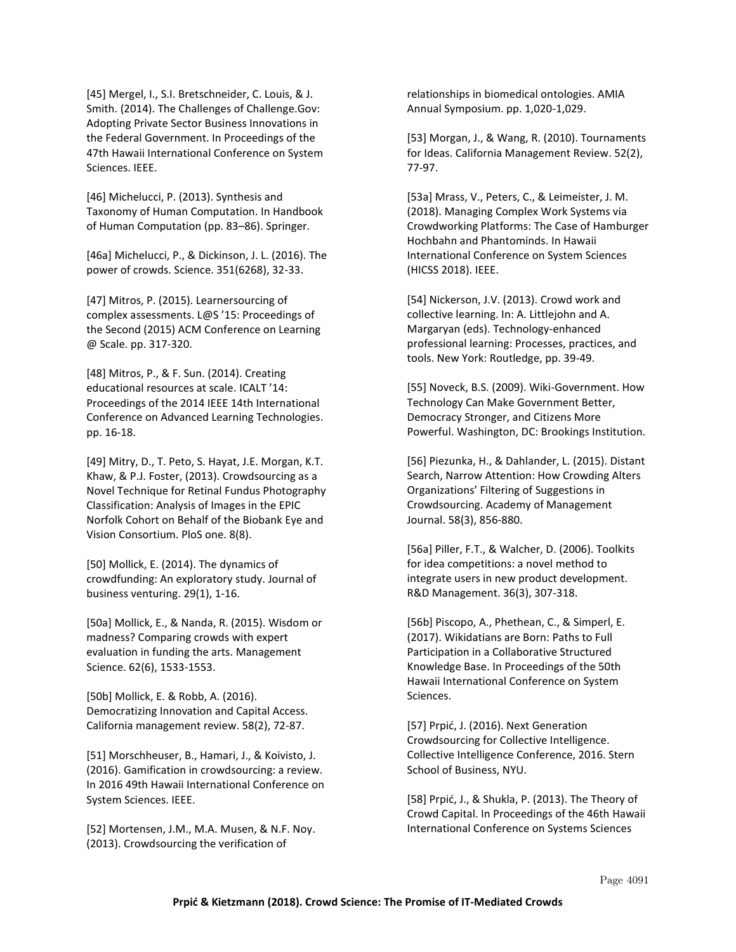[45] Mergel, I., S.I. Bretschneider, C. Louis, & J. Smith. (2014). The Challenges of Challenge.Gov: Adopting Private Sector Business Innovations in the Federal Government. In Proceedings of the 47th Hawaii International Conference on System Sciences. IEEE.

[46] Michelucci, P. (2013). Synthesis and Taxonomy of Human Computation. In Handbook of Human Computation (pp. 83–86). Springer.

[46a] Michelucci, P., & Dickinson, J. L. (2016). The power of crowds. Science. 351(6268), 32-33.

[47] Mitros, P. (2015). Learnersourcing of complex assessments. L@S '15: Proceedings of the Second (2015) ACM Conference on Learning @ Scale. pp. 317-320.

[48] Mitros, P., & F. Sun. (2014). Creating educational resources at scale. ICALT '14: Proceedings of the 2014 IEEE 14th International Conference on Advanced Learning Technologies. pp. 16-18.

[49] Mitry, D., T. Peto, S. Hayat, J.E. Morgan, K.T. Khaw, & P.J. Foster, (2013). Crowdsourcing as a Novel Technique for Retinal Fundus Photography Classification: Analysis of Images in the EPIC Norfolk Cohort on Behalf of the Biobank Eye and Vision Consortium. PloS one. 8(8).

[50] Mollick, E. (2014). The dynamics of crowdfunding: An exploratory study. Journal of business venturing. 29(1), 1-16.

[50a] Mollick, E., & Nanda, R. (2015). Wisdom or madness? Comparing crowds with expert evaluation in funding the arts. Management Science. 62(6), 1533-1553.

[50b] Mollick, E. & Robb, A. (2016). Democratizing Innovation and Capital Access. California management review. 58(2), 72-87.

[51] Morschheuser, B., Hamari, J., & Koivisto, J. (2016). Gamification in crowdsourcing: a review. In 2016 49th Hawaii International Conference on System Sciences. IEEE.

[52] Mortensen, J.M., M.A. Musen, & N.F. Noy. (2013). Crowdsourcing the verification of

relationships in biomedical ontologies. AMIA Annual Symposium. pp. 1,020-1,029.

[53] Morgan, J., & Wang, R. (2010). Tournaments for Ideas. California Management Review. 52(2), 77-97.

[53a] Mrass, V., Peters, C., & Leimeister, J. M. (2018). Managing Complex Work Systems via Crowdworking Platforms: The Case of Hamburger Hochbahn and Phantominds. In Hawaii International Conference on System Sciences (HICSS 2018). IEEE.

[54] Nickerson, J.V. (2013). Crowd work and collective learning. In: A. Littlejohn and A. Margaryan (eds). Technology-enhanced professional learning: Processes, practices, and tools. New York: Routledge, pp. 39-49.

[55] Noveck, B.S. (2009). Wiki-Government. How Technology Can Make Government Better, Democracy Stronger, and Citizens More Powerful. Washington, DC: Brookings Institution.

[56] Piezunka, H., & Dahlander, L. (2015). Distant Search, Narrow Attention: How Crowding Alters Organizations' Filtering of Suggestions in Crowdsourcing. Academy of Management Journal. 58(3), 856-880.

[56a] Piller, F.T., & Walcher, D. (2006). Toolkits for idea competitions: a novel method to integrate users in new product development. R&D Management. 36(3), 307-318.

[56b] Piscopo, A., Phethean, C., & Simperl, E. (2017). Wikidatians are Born: Paths to Full Participation in a Collaborative Structured Knowledge Base. In Proceedings of the 50th Hawaii International Conference on System Sciences.

[57] Prpić, J. (2016). Next Generation Crowdsourcing for Collective Intelligence. Collective Intelligence Conference, 2016. Stern School of Business, NYU.

[58] Prpić, J., & Shukla, P. (2013). The Theory of Crowd Capital. In Proceedings of the 46th Hawaii International Conference on Systems Sciences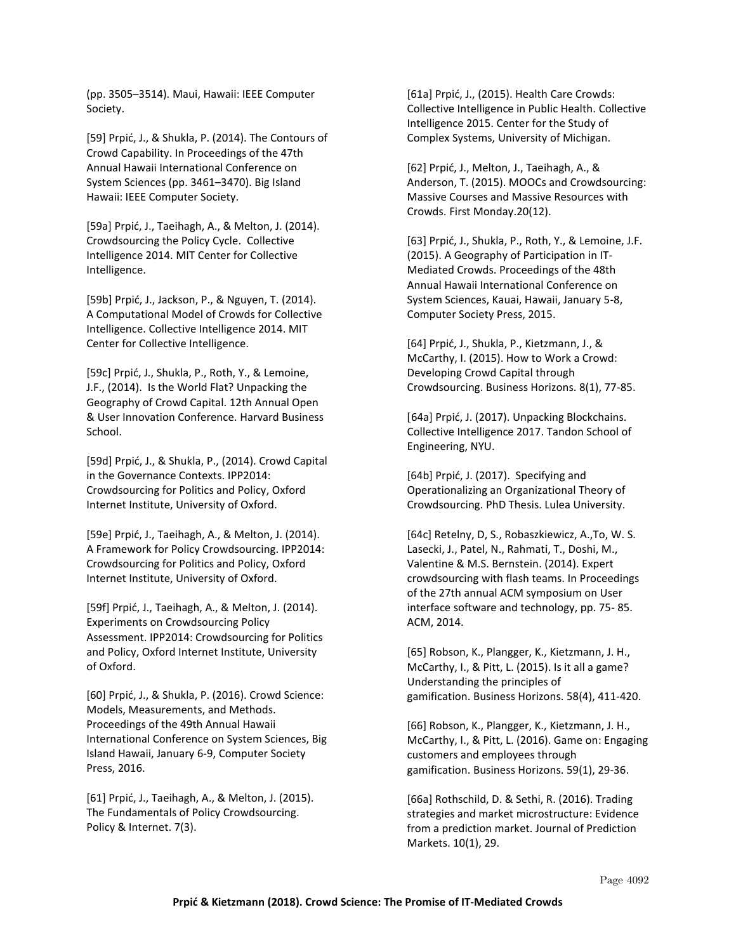(pp. 3505–3514). Maui, Hawaii: IEEE Computer Society.

[59] Prpić, J., & Shukla, P. (2014). The Contours of Crowd Capability. In Proceedings of the 47th Annual Hawaii International Conference on System Sciences (pp. 3461–3470). Big Island Hawaii: IEEE Computer Society.

[59a] Prpić, J., Taeihagh, A., & Melton, J. (2014). Crowdsourcing the Policy Cycle. Collective Intelligence 2014. MIT Center for Collective Intelligence.

[59b] Prpić, J., Jackson, P., & Nguyen, T. (2014). A Computational Model of Crowds for Collective Intelligence. Collective Intelligence 2014. MIT Center for Collective Intelligence.

[59c] Prpić, J., Shukla, P., Roth, Y., & Lemoine, J.F., (2014). Is the World Flat? Unpacking the Geography of Crowd Capital. 12th Annual Open & User Innovation Conference. Harvard Business School.

[59d] Prpić, J., & Shukla, P., (2014). Crowd Capital in the Governance Contexts. IPP2014: Crowdsourcing for Politics and Policy, Oxford Internet Institute, University of Oxford.

[59e] Prpić, J., Taeihagh, A., & Melton, J. (2014). A Framework for Policy Crowdsourcing. IPP2014: Crowdsourcing for Politics and Policy, Oxford Internet Institute, University of Oxford.

[59f] Prpić, J., Taeihagh, A., & Melton, J. (2014). Experiments on Crowdsourcing Policy Assessment. IPP2014: Crowdsourcing for Politics and Policy, Oxford Internet Institute, University of Oxford.

[60] Prpić, J., & Shukla, P. (2016). Crowd Science: Models, Measurements, and Methods. Proceedings of the 49th Annual Hawaii International Conference on System Sciences, Big Island Hawaii, January 6-9, Computer Society Press, 2016.

[61] Prpić, J., Taeihagh, A., & Melton, J. (2015). The Fundamentals of Policy Crowdsourcing. Policy & Internet. 7(3).

[61a] Prpić, J., (2015). Health Care Crowds: Collective Intelligence in Public Health. Collective Intelligence 2015. Center for the Study of Complex Systems, University of Michigan.

[62] Prpić, J., Melton, J., Taeihagh, A., & Anderson, T. (2015). MOOCs and Crowdsourcing: Massive Courses and Massive Resources with Crowds. First Monday.20(12).

[63] Prpić, J., Shukla, P., Roth, Y., & Lemoine, J.F. (2015). A Geography of Participation in IT-Mediated Crowds. Proceedings of the 48th Annual Hawaii International Conference on System Sciences, Kauai, Hawaii, January 5-8, Computer Society Press, 2015.

[64] Prpić, J., Shukla, P., Kietzmann, J., & McCarthy, I. (2015). How to Work a Crowd: Developing Crowd Capital through Crowdsourcing. Business Horizons. 8(1), 77-85.

[64a] Prpić, J. (2017). Unpacking Blockchains. Collective Intelligence 2017. Tandon School of Engineering, NYU.

[64b] Prpić, J. (2017). Specifying and Operationalizing an Organizational Theory of Crowdsourcing. PhD Thesis. Lulea University.

[64c] Retelny, D, S., Robaszkiewicz, A.,To, W. S. Lasecki, J., Patel, N., Rahmati, T., Doshi, M., Valentine & M.S. Bernstein. (2014). Expert crowdsourcing with flash teams. In Proceedings of the 27th annual ACM symposium on User interface software and technology, pp. 75- 85. ACM, 2014.

[65] Robson, K., Plangger, K., Kietzmann, J. H., McCarthy, I., & Pitt, L. (2015). Is it all a game? Understanding the principles of gamification. Business Horizons. 58(4), 411-420.

[66] Robson, K., Plangger, K., Kietzmann, J. H., McCarthy, I., & Pitt, L. (2016). Game on: Engaging customers and employees through gamification. Business Horizons. 59(1), 29-36.

[66a] Rothschild, D. & Sethi, R. (2016). Trading strategies and market microstructure: Evidence from a prediction market. Journal of Prediction Markets. 10(1), 29.